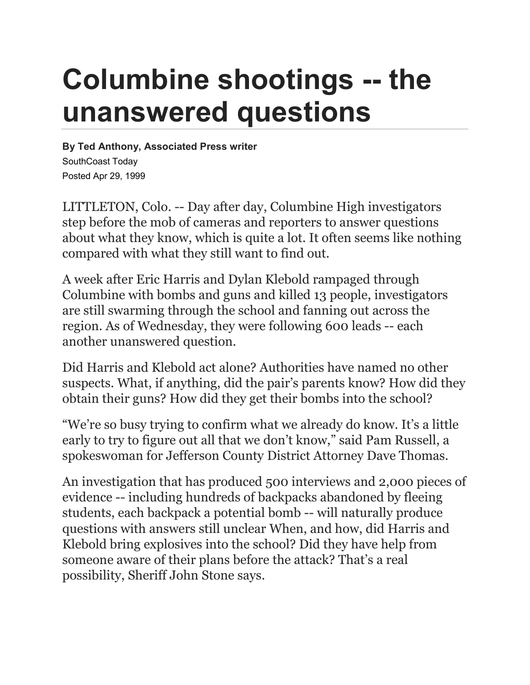## **Columbine shootings -- the unanswered questions**

**By Ted Anthony, Associated Press writer** SouthCoast Today Posted Apr 29, 1999

LITTLETON, Colo. -- Day after day, Columbine High investigators step before the mob of cameras and reporters to answer questions about what they know, which is quite a lot. It often seems like nothing compared with what they still want to find out.

A week after Eric Harris and Dylan Klebold rampaged through Columbine with bombs and guns and killed 13 people, investigators are still swarming through the school and fanning out across the region. As of Wednesday, they were following 600 leads -- each another unanswered question.

Did Harris and Klebold act alone? Authorities have named no other suspects. What, if anything, did the pair's parents know? How did they obtain their guns? How did they get their bombs into the school?

"We're so busy trying to confirm what we already do know. It's a little early to try to figure out all that we don't know," said Pam Russell, a spokeswoman for Jefferson County District Attorney Dave Thomas.

An investigation that has produced 500 interviews and 2,000 pieces of evidence -- including hundreds of backpacks abandoned by fleeing students, each backpack a potential bomb -- will naturally produce questions with answers still unclear When, and how, did Harris and Klebold bring explosives into the school? Did they have help from someone aware of their plans before the attack? That's a real possibility, Sheriff John Stone says.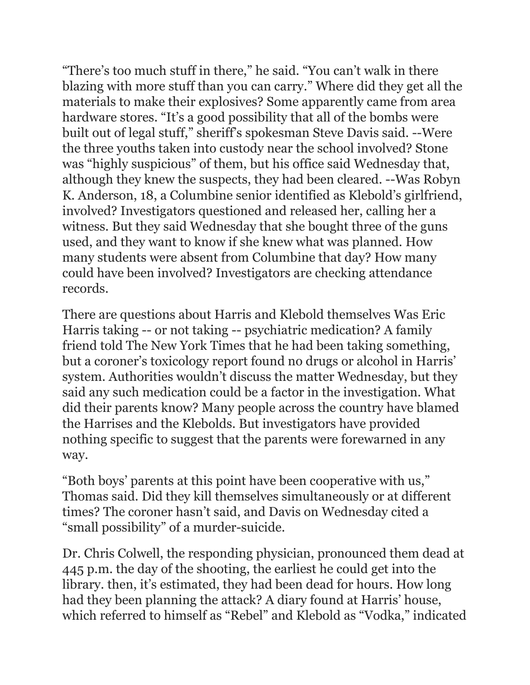"There's too much stuff in there," he said. "You can't walk in there blazing with more stuff than you can carry." Where did they get all the materials to make their explosives? Some apparently came from area hardware stores. "It's a good possibility that all of the bombs were built out of legal stuff," sheriff's spokesman Steve Davis said. --Were the three youths taken into custody near the school involved? Stone was "highly suspicious" of them, but his office said Wednesday that, although they knew the suspects, they had been cleared. --Was Robyn K. Anderson, 18, a Columbine senior identified as Klebold's girlfriend, involved? Investigators questioned and released her, calling her a witness. But they said Wednesday that she bought three of the guns used, and they want to know if she knew what was planned. How many students were absent from Columbine that day? How many could have been involved? Investigators are checking attendance records.

There are questions about Harris and Klebold themselves Was Eric Harris taking -- or not taking -- psychiatric medication? A family friend told The New York Times that he had been taking something, but a coroner's toxicology report found no drugs or alcohol in Harris' system. Authorities wouldn't discuss the matter Wednesday, but they said any such medication could be a factor in the investigation. What did their parents know? Many people across the country have blamed the Harrises and the Klebolds. But investigators have provided nothing specific to suggest that the parents were forewarned in any way.

"Both boys' parents at this point have been cooperative with us," Thomas said. Did they kill themselves simultaneously or at different times? The coroner hasn't said, and Davis on Wednesday cited a "small possibility" of a murder-suicide.

Dr. Chris Colwell, the responding physician, pronounced them dead at 445 p.m. the day of the shooting, the earliest he could get into the library. then, it's estimated, they had been dead for hours. How long had they been planning the attack? A diary found at Harris' house, which referred to himself as "Rebel" and Klebold as "Vodka," indicated